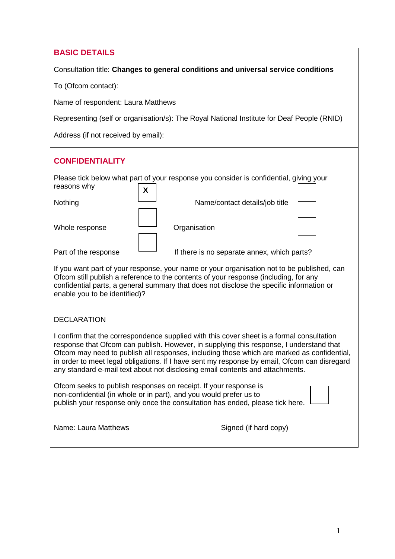#### **BASIC DETAILS**

Consultation title: **Changes to general conditions and universal service conditions**

To (Ofcom contact):

Name of respondent: Laura Matthews

Representing (self or organisation/s): The Royal National Institute for Deaf People (RNID)

Address (if not received by email):

#### **CONFIDENTIALITY**

Please tick below what part of your response you consider is confidential, giving your

| reasons why          | X |                                             |  |
|----------------------|---|---------------------------------------------|--|
| Nothing              |   | Name/contact details/job title              |  |
| Whole response       |   | Organisation                                |  |
| Part of the response |   | If there is no separate annex, which parts? |  |

If you want part of your response, your name or your organisation not to be published, can Ofcom still publish a reference to the contents of your response (including, for any confidential parts, a general summary that does not disclose the specific information or enable you to be identified)?

#### **DECLARATION**

I confirm that the correspondence supplied with this cover sheet is a formal consultation response that Ofcom can publish. However, in supplying this response, I understand that Ofcom may need to publish all responses, including those which are marked as confidential, in order to meet legal obligations. If I have sent my response by email, Ofcom can disregard any standard e-mail text about not disclosing email contents and attachments.

Ofcom seeks to publish responses on receipt. If your response is non-confidential (in whole or in part), and you would prefer us to publish your response only once the consultation has ended, please tick here.

Name: Laura Matthews Signed (if hard copy)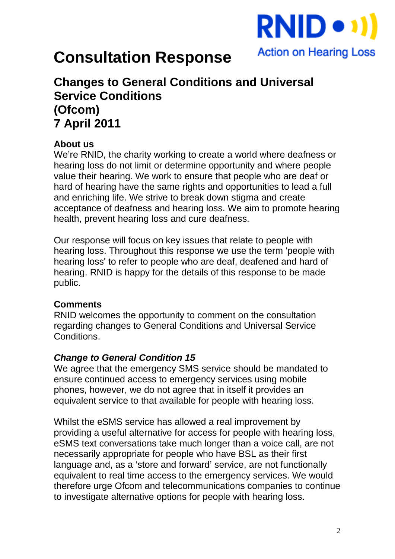

# **Consultation Response**

# **Changes to General Conditions and Universal Service Conditions (Ofcom) 7 April 2011**

#### **About us**

We're RNID, the charity working to create a world where deafness or hearing loss do not limit or determine opportunity and where people value their hearing. We work to ensure that people who are deaf or hard of hearing have the same rights and opportunities to lead a full and enriching life. We strive to break down stigma and create acceptance of deafness and hearing loss. We aim to promote hearing health, prevent hearing loss and cure deafness.

Our response will focus on key issues that relate to people with hearing loss. Throughout this response we use the term 'people with hearing loss' to refer to people who are deaf, deafened and hard of hearing. RNID is happy for the details of this response to be made public.

#### **Comments**

RNID welcomes the opportunity to comment on the consultation regarding changes to General Conditions and Universal Service Conditions.

# *Change to General Condition 15*

We agree that the emergency SMS service should be mandated to ensure continued access to emergency services using mobile phones, however, we do not agree that in itself it provides an equivalent service to that available for people with hearing loss.

Whilst the eSMS service has allowed a real improvement by providing a useful alternative for access for people with hearing loss, eSMS text conversations take much longer than a voice call, are not necessarily appropriate for people who have BSL as their first language and, as a 'store and forward' service, are not functionally equivalent to real time access to the emergency services. We would therefore urge Ofcom and telecommunications companies to continue to investigate alternative options for people with hearing loss.